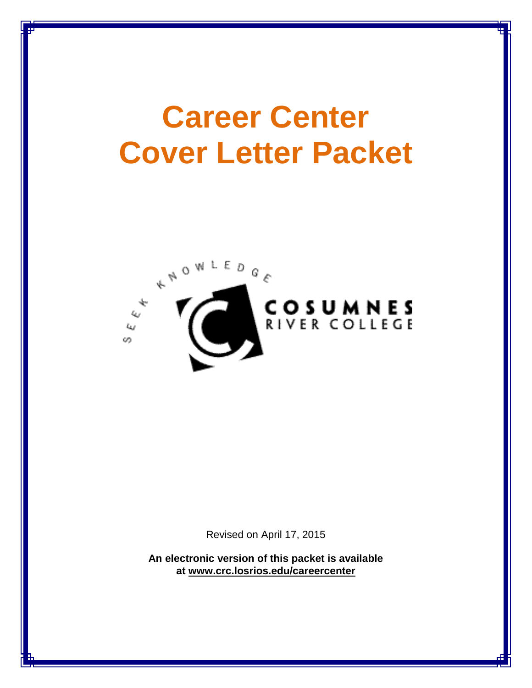# **Career Center Cover Letter Packet**



Revised on April 17, 2015

**An electronic version of this packet is available at [www.crc.losrios.edu/careercenter](http://www.crc.losrios.edu/careercenter)**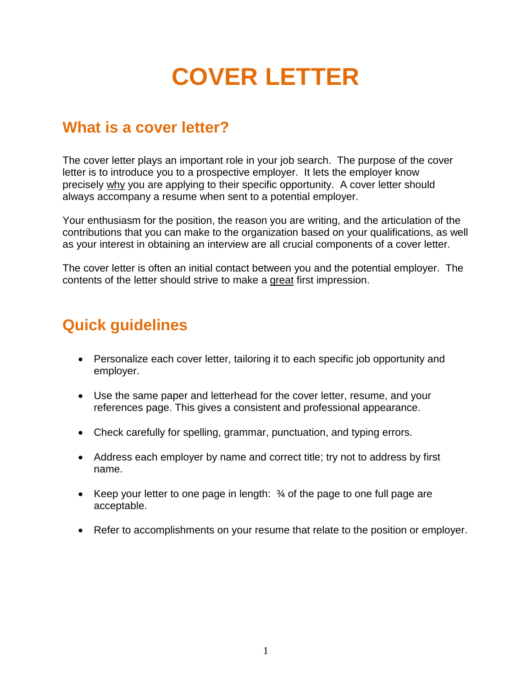## **COVER LETTER**

## **What is a cover letter?**

The cover letter plays an important role in your job search. The purpose of the cover letter is to introduce you to a prospective employer. It lets the employer know precisely why you are applying to their specific opportunity. A cover letter should always accompany a resume when sent to a potential employer.

Your enthusiasm for the position, the reason you are writing, and the articulation of the contributions that you can make to the organization based on your qualifications, as well as your interest in obtaining an interview are all crucial components of a cover letter.

The cover letter is often an initial contact between you and the potential employer. The contents of the letter should strive to make a great first impression.

## **Quick guidelines**

- Personalize each cover letter, tailoring it to each specific job opportunity and employer.
- Use the same paper and letterhead for the cover letter, resume, and your references page. This gives a consistent and professional appearance.
- Check carefully for spelling, grammar, punctuation, and typing errors.
- Address each employer by name and correct title; try not to address by first name.
- Keep your letter to one page in length: ¾ of the page to one full page are acceptable.
- Refer to accomplishments on your resume that relate to the position or employer.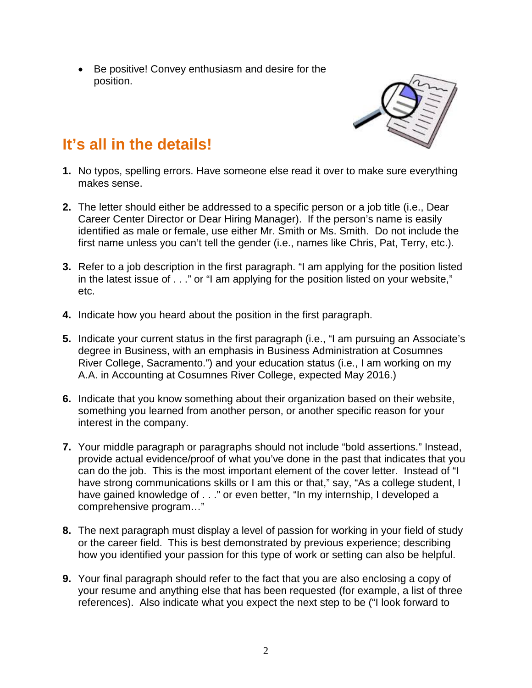• Be positive! Convey enthusiasm and desire for the position.



## **It's all in the details!**

- **1.** No typos, spelling errors. Have someone else read it over to make sure everything makes sense.
- **2.** The letter should either be addressed to a specific person or a job title (i.e., Dear Career Center Director or Dear Hiring Manager). If the person's name is easily identified as male or female, use either Mr. Smith or Ms. Smith. Do not include the first name unless you can't tell the gender (i.e., names like Chris, Pat, Terry, etc.).
- **3.** Refer to a job description in the first paragraph. "I am applying for the position listed in the latest issue of . . ." or "I am applying for the position listed on your website," etc.
- **4.** Indicate how you heard about the position in the first paragraph.
- **5.** Indicate your current status in the first paragraph (i.e., "I am pursuing an Associate's degree in Business, with an emphasis in Business Administration at Cosumnes River College, Sacramento.") and your education status (i.e., I am working on my A.A. in Accounting at Cosumnes River College, expected May 2016.)
- **6.** Indicate that you know something about their organization based on their website, something you learned from another person, or another specific reason for your interest in the company.
- **7.** Your middle paragraph or paragraphs should not include "bold assertions." Instead, provide actual evidence/proof of what you've done in the past that indicates that you can do the job. This is the most important element of the cover letter. Instead of "I have strong communications skills or I am this or that," say, "As a college student, I have gained knowledge of . . ." or even better, "In my internship, I developed a comprehensive program…"
- **8.** The next paragraph must display a level of passion for working in your field of study or the career field. This is best demonstrated by previous experience; describing how you identified your passion for this type of work or setting can also be helpful.
- **9.** Your final paragraph should refer to the fact that you are also enclosing a copy of your resume and anything else that has been requested (for example, a list of three references). Also indicate what you expect the next step to be ("I look forward to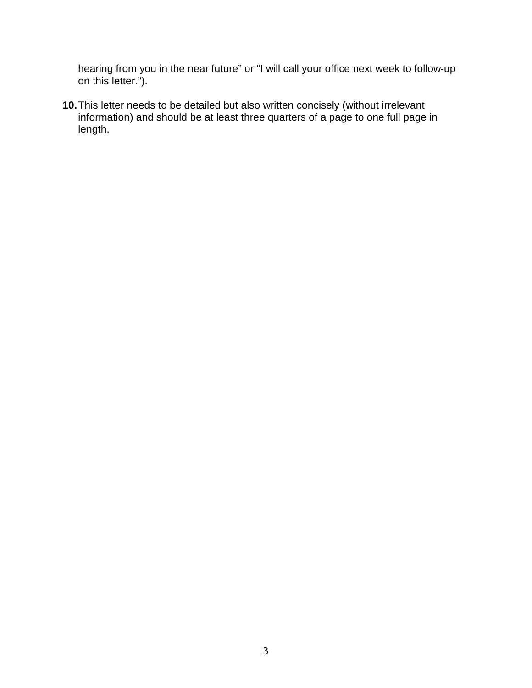hearing from you in the near future" or "I will call your office next week to follow‐up on this letter.").

**10.**This letter needs to be detailed but also written concisely (without irrelevant information) and should be at least three quarters of a page to one full page in length.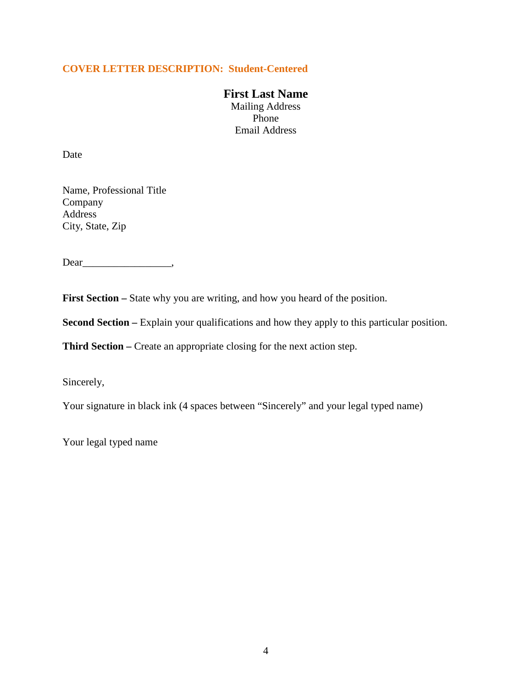#### **COVER LETTER DESCRIPTION: Student-Centered**

**First Last Name** Mailing Address Phone Email Address

Date

Name, Professional Title Company Address City, State, Zip

Dear\_\_\_\_\_\_\_\_\_\_\_\_\_\_\_\_\_,

First Section – State why you are writing, and how you heard of the position.

**Second Section –** Explain your qualifications and how they apply to this particular position.

**Third Section –** Create an appropriate closing for the next action step.

Sincerely,

Your signature in black ink (4 spaces between "Sincerely" and your legal typed name)

Your legal typed name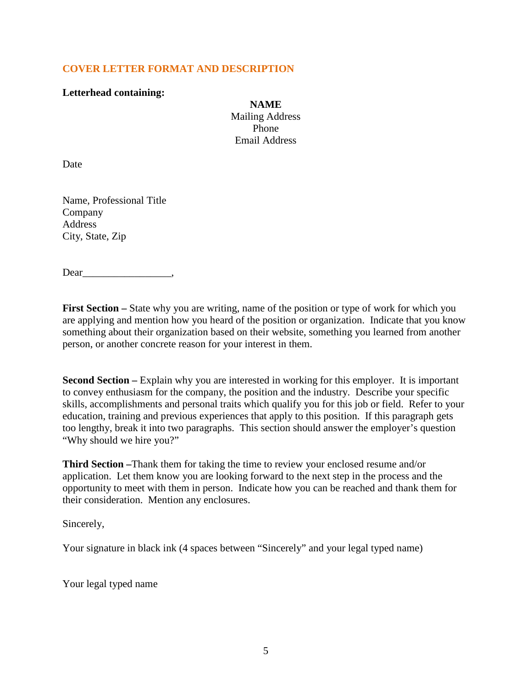#### **COVER LETTER FORMAT AND DESCRIPTION**

#### **Letterhead containing:**

**NAME** Mailing Address Phone Email Address

Date

Name, Professional Title Company Address City, State, Zip

Dear\_\_\_\_\_\_\_\_\_\_\_\_\_\_\_\_\_,

**First Section** – State why you are writing, name of the position or type of work for which you are applying and mention how you heard of the position or organization. Indicate that you know something about their organization based on their website, something you learned from another person, or another concrete reason for your interest in them.

**Second Section –** Explain why you are interested in working for this employer. It is important to convey enthusiasm for the company, the position and the industry. Describe your specific skills, accomplishments and personal traits which qualify you for this job or field. Refer to your education, training and previous experiences that apply to this position. If this paragraph gets too lengthy, break it into two paragraphs. This section should answer the employer's question "Why should we hire you?"

**Third Section –**Thank them for taking the time to review your enclosed resume and/or application. Let them know you are looking forward to the next step in the process and the opportunity to meet with them in person. Indicate how you can be reached and thank them for their consideration. Mention any enclosures.

Sincerely,

Your signature in black ink (4 spaces between "Sincerely" and your legal typed name)

Your legal typed name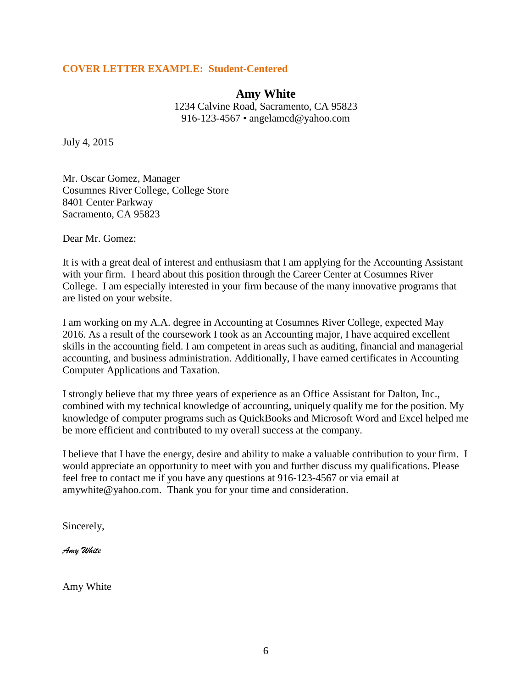#### **COVER LETTER EXAMPLE: Student-Centered**

#### **Amy White**

1234 Calvine Road, Sacramento, CA 95823 916-123-4567 • angelamcd@yahoo.com

July 4, 2015

Mr. Oscar Gomez, Manager Cosumnes River College, College Store 8401 Center Parkway Sacramento, CA 95823

Dear Mr. Gomez:

It is with a great deal of interest and enthusiasm that I am applying for the Accounting Assistant with your firm. I heard about this position through the Career Center at Cosumnes River College. I am especially interested in your firm because of the many innovative programs that are listed on your website.

I am working on my A.A. degree in Accounting at Cosumnes River College, expected May 2016. As a result of the coursework I took as an Accounting major, I have acquired excellent skills in the accounting field. I am competent in areas such as auditing, financial and managerial accounting, and business administration. Additionally, I have earned certificates in Accounting Computer Applications and Taxation.

I strongly believe that my three years of experience as an Office Assistant for Dalton, Inc., combined with my technical knowledge of accounting, uniquely qualify me for the position. My knowledge of computer programs such as QuickBooks and Microsoft Word and Excel helped me be more efficient and contributed to my overall success at the company.

I believe that I have the energy, desire and ability to make a valuable contribution to your firm. I would appreciate an opportunity to meet with you and further discuss my qualifications. Please feel free to contact me if you have any questions at 916-123-4567 or via email at amywhite@yahoo.com. Thank you for your time and consideration.

Sincerely,

*Amy White*

Amy White